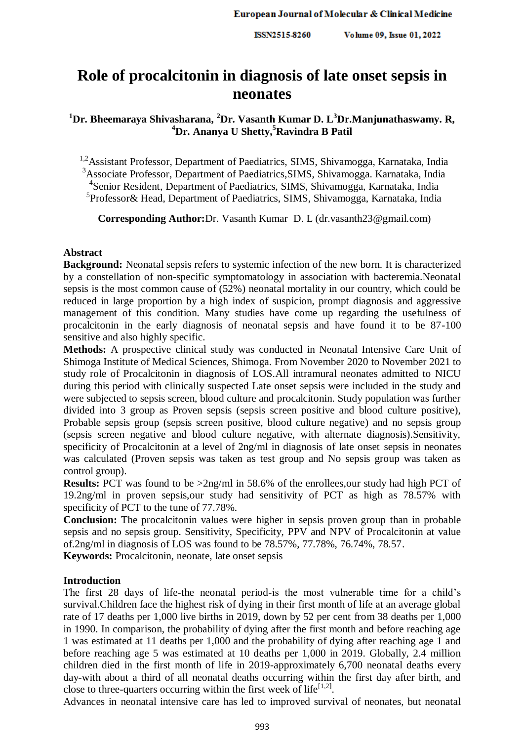Volume 09, Issue 01, 2022 ISSN2515-8260

# **Role of procalcitonin in diagnosis of late onset sepsis in neonates**

# **<sup>1</sup>Dr. Bheemaraya Shivasharana, <sup>2</sup>Dr. Vasanth Kumar D. L<sup>3</sup>Dr.Manjunathaswamy. R, <sup>4</sup>Dr. Ananya U Shetty, <sup>5</sup>Ravindra B Patil**

<sup>1,2</sup>Assistant Professor, Department of Paediatrics, SIMS, Shivamogga, Karnataka, India <sup>3</sup>Associate Professor, Department of Paediatrics, SIMS, Shivamogga. Karnataka, India 4 Senior Resident, Department of Paediatrics, SIMS, Shivamogga, Karnataka, India <sup>5</sup>Professor& Head, Department of Paediatrics, SIMS, Shivamogga, Karnataka, India

**Corresponding Author:**Dr. Vasanth Kumar D. L (dr.vasanth23@gmail.com)

### **Abstract**

**Background:** Neonatal sepsis refers to systemic infection of the new born. It is characterized by a constellation of non-specific symptomatology in association with bacteremia.Neonatal sepsis is the most common cause of (52%) neonatal mortality in our country, which could be reduced in large proportion by a high index of suspicion, prompt diagnosis and aggressive management of this condition. Many studies have come up regarding the usefulness of procalcitonin in the early diagnosis of neonatal sepsis and have found it to be 87-100 sensitive and also highly specific.

**Methods:** A prospective clinical study was conducted in Neonatal Intensive Care Unit of Shimoga Institute of Medical Sciences, Shimoga. From November 2020 to November 2021 to study role of Procalcitonin in diagnosis of LOS.All intramural neonates admitted to NICU during this period with clinically suspected Late onset sepsis were included in the study and were subjected to sepsis screen, blood culture and procalcitonin. Study population was further divided into 3 group as Proven sepsis (sepsis screen positive and blood culture positive), Probable sepsis group (sepsis screen positive, blood culture negative) and no sepsis group (sepsis screen negative and blood culture negative, with alternate diagnosis).Sensitivity, specificity of Procalcitonin at a level of 2ng/ml in diagnosis of late onset sepsis in neonates was calculated (Proven sepsis was taken as test group and No sepsis group was taken as control group).

**Results:** PCT was found to be  $>2$ ng/ml in 58.6% of the enrollees, our study had high PCT of 19.2ng/ml in proven sepsis,our study had sensitivity of PCT as high as 78.57% with specificity of PCT to the tune of 77.78%.

**Conclusion:** The procalcitonin values were higher in sepsis proven group than in probable sepsis and no sepsis group. Sensitivity, Specificity, PPV and NPV of Procalcitonin at value of.2ng/ml in diagnosis of LOS was found to be 78.57%, 77.78%, 76.74%, 78.57.

**Keywords:** Procalcitonin, neonate, late onset sepsis

### **Introduction**

The first 28 days of life-the neonatal period-is the most vulnerable time for a child's survival.Children face the highest risk of dying in their first month of life at an average global rate of 17 deaths per 1,000 live births in 2019, down by 52 per cent from 38 deaths per 1,000 in 1990. In comparison, the probability of dying after the first month and before reaching age 1 was estimated at 11 deaths per 1,000 and the probability of dying after reaching age 1 and before reaching age 5 was estimated at 10 deaths per 1,000 in 2019. Globally, 2.4 million children died in the first month of life in 2019-approximately 6,700 neonatal deaths every day-with about a third of all neonatal deaths occurring within the first day after birth, and close to three-quarters occurring within the first week of life $[1,2]$ .

Advances in neonatal intensive care has led to improved survival of neonates, but neonatal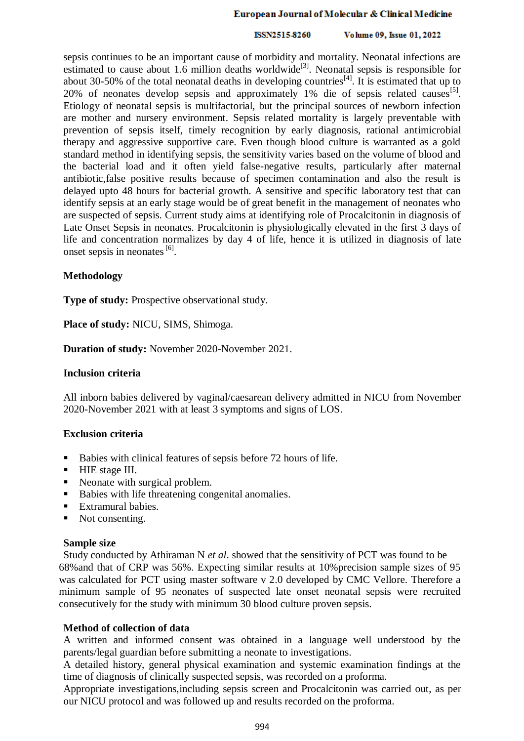#### ISSN2515-8260 Volume 09, Issue 01, 2022

sepsis continues to be an important cause of morbidity and mortality. Neonatal infections are estimated to cause about 1.6 million deaths worldwide<sup>[3]</sup>. Neonatal sepsis is responsible for about 30-50% of the total neonatal deaths in developing countries<sup>[4]</sup>. It is estimated that up to 20% of neonates develop sepsis and approximately 1% die of sepsis related causes<sup>[5]</sup>. Etiology of neonatal sepsis is multifactorial, but the principal sources of newborn infection are mother and nursery environment. Sepsis related mortality is largely preventable with prevention of sepsis itself, timely recognition by early diagnosis, rational antimicrobial therapy and aggressive supportive care. Even though blood culture is warranted as a gold standard method in identifying sepsis, the sensitivity varies based on the volume of blood and the bacterial load and it often yield false-negative results, particularly after maternal antibiotic,false positive results because of specimen contamination and also the result is delayed upto 48 hours for bacterial growth. A sensitive and specific laboratory test that can identify sepsis at an early stage would be of great benefit in the management of neonates who are suspected of sepsis. Current study aims at identifying role of Procalcitonin in diagnosis of Late Onset Sepsis in neonates. Procalcitonin is physiologically elevated in the first 3 days of life and concentration normalizes by day 4 of life, hence it is utilized in diagnosis of late onset sepsis in neonates [6].

## **Methodology**

**Type of study:** Prospective observational study.

**Place of study:** NICU, SIMS, Shimoga.

**Duration of study:** November 2020-November 2021.

### **Inclusion criteria**

All inborn babies delivered by vaginal/caesarean delivery admitted in NICU from November 2020-November 2021 with at least 3 symptoms and signs of LOS.

# **Exclusion criteria**

- Babies with clinical features of sepsis before 72 hours of life.
- **HIE** stage III.
- Neonate with surgical problem.
- Babies with life threatening congenital anomalies.
- Extramural babies.
- Not consenting.

### **Sample size**

Study conducted by Athiraman N *et al*. showed that the sensitivity of PCT was found to be 68%and that of CRP was 56%. Expecting similar results at 10%precision sample sizes of 95 was calculated for PCT using master software v 2.0 developed by CMC Vellore. Therefore a minimum sample of 95 neonates of suspected late onset neonatal sepsis were recruited consecutively for the study with minimum 30 blood culture proven sepsis.

# **Method of collection of data**

A written and informed consent was obtained in a language well understood by the parents/legal guardian before submitting a neonate to investigations.

A detailed history, general physical examination and systemic examination findings at the time of diagnosis of clinically suspected sepsis, was recorded on a proforma.

Appropriate investigations,including sepsis screen and Procalcitonin was carried out, as per our NICU protocol and was followed up and results recorded on the proforma.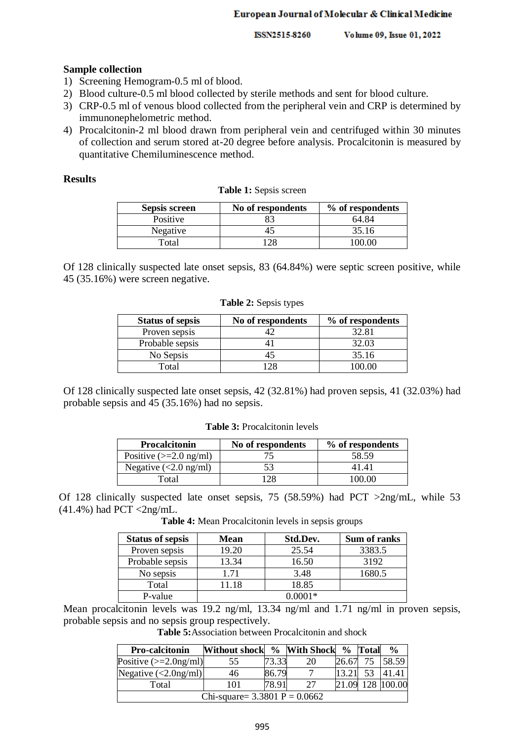ISSN2515-8260 Volume 09, Issue 01, 2022

#### **Sample collection**

- 1) Screening Hemogram-0.5 ml of blood.
- 2) Blood culture-0.5 ml blood collected by sterile methods and sent for blood culture.
- 3) CRP-0.5 ml of venous blood collected from the peripheral vein and CRP is determined by immunonephelometric method.
- 4) Procalcitonin-2 ml blood drawn from peripheral vein and centrifuged within 30 minutes of collection and serum stored at-20 degree before analysis. Procalcitonin is measured by quantitative Chemiluminescence method.

#### **Results**

|  |  | <b>Table 1:</b> Sepsis screen |  |
|--|--|-------------------------------|--|
|--|--|-------------------------------|--|

| <b>Sepsis screen</b> | No of respondents | % of respondents |
|----------------------|-------------------|------------------|
| Positive             |                   | 64 84            |
| Negative             |                   | 35.16            |
| Total                |                   | $\cup$           |

Of 128 clinically suspected late onset sepsis, 83 (64.84%) were septic screen positive, while 45 (35.16%) were screen negative.

| <b>Status of sepsis</b> | No of respondents | % of respondents |
|-------------------------|-------------------|------------------|
| Proven sepsis           |                   | 32.81            |
| Probable sepsis         |                   | 32.03            |
| No Sepsis               |                   | 35.16            |
| Total                   |                   | 00 OO            |

**Table 2:** Sepsis types

Of 128 clinically suspected late onset sepsis, 42 (32.81%) had proven sepsis, 41 (32.03%) had probable sepsis and 45 (35.16%) had no sepsis.

**Table 3:** Procalcitonin levels

| <b>Procalcitonin</b>             | No of respondents | % of respondents |  |  |
|----------------------------------|-------------------|------------------|--|--|
| Positive $(>=2.0 \text{ ng/ml})$ |                   | 58.59            |  |  |
| Negative $\left($ < 2.0 ng/ml)   |                   | 4141             |  |  |
| Fotal                            |                   | .00.00           |  |  |

Of 128 clinically suspected late onset sepsis, 75 (58.59%) had PCT >2ng/mL, while 53  $(41.4\%)$  had PCT <2ng/mL.

**Table 4:** Mean Procalcitonin levels in sepsis groups

| <b>Status of sepsis</b> | Mean  | Std.Dev. | Sum of ranks |
|-------------------------|-------|----------|--------------|
| Proven sepsis           | 19.20 | 25.54    | 3383.5       |
| Probable sepsis         | 13.34 | 16.50    | 3192         |
| No sepsis               | 1.71  | 3.48     | 1680.5       |
| Total                   | 11.18 | 18.85    |              |
| P-value                 |       | ) በበበ1*  |              |

Mean procalcitonin levels was 19.2 ng/ml, 13.34 ng/ml and 1.71 ng/ml in proven sepsis, probable sepsis and no sepsis group respectively.

| <b>Table 5:</b> Association between Procalcitonin and shock |  |
|-------------------------------------------------------------|--|
|-------------------------------------------------------------|--|

| <b>Pro-calcitonin</b>               | Without shock % With Shock % Total |       |    |       |    | $\frac{0}{0}$ |  |  |
|-------------------------------------|------------------------------------|-------|----|-------|----|---------------|--|--|
| Positive $\left 2.0 \right $ mg/ml) | 55                                 | 73.33 | 20 | 26.67 | 75 | 58.59         |  |  |
| Negative $\langle$ 2.0ng/ml)        | 46                                 | 86.79 |    | 13.21 | 53 | 41.41         |  |  |
| Total                               | 101                                | 78.91 | 27 | 21.09 |    | 128 100.00    |  |  |
| Chi-square= $3.3801$ P = 0.0662     |                                    |       |    |       |    |               |  |  |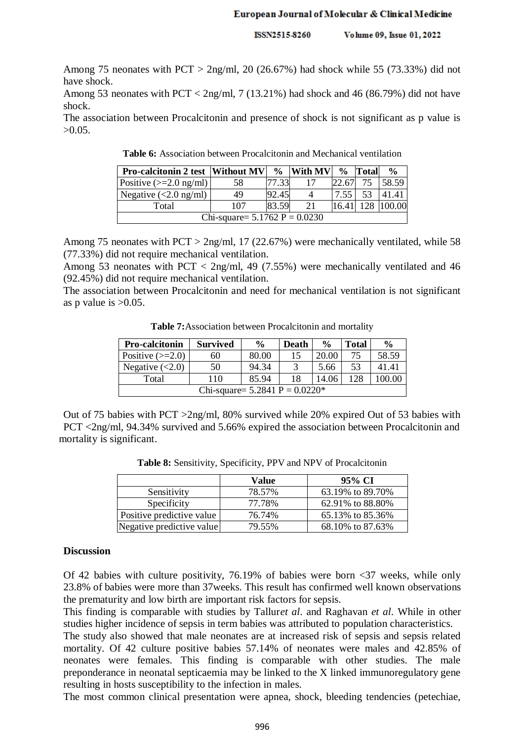ISSN2515-8260 Volume 09, Issue 01, 2022

Among 75 neonates with  $PCT > 2$ ng/ml, 20 (26.67%) had shock while 55 (73.33%) did not have shock.

Among 53 neonates with PCT <  $2\text{ng/ml}$ , 7 (13.21%) had shock and 46 (86.79%) did not have shock.

The association between Procalcitonin and presence of shock is not significant as p value is  $>0.05$ .

|                                                                              |  |  |  |  | المناد المساحل المناصبات والمحصول المراضعات المستحدث المستحدا |  |  |  |  |
|------------------------------------------------------------------------------|--|--|--|--|---------------------------------------------------------------|--|--|--|--|
| <b>Table 6:</b> Association between Procalcitonin and Mechanical ventilation |  |  |  |  |                                                               |  |  |  |  |

| <b>Pro-calcitonin 2 test  Without MV </b>  |                                 | $\frac{6}{9}$ | <b>With MV</b> | $\frac{0}{0}$ | <b>Total</b> | $\frac{0}{0}$ |  |  |  |  |
|--------------------------------------------|---------------------------------|---------------|----------------|---------------|--------------|---------------|--|--|--|--|
| Positive $\left 22.0 \right  \text{ng/ml}$ | 58                              | 17.33         | 17             | 22.67         | 75           | 58.59         |  |  |  |  |
| Negative $\left($ < 2.0 ng/ml)             | 49                              | 92.45         | 4              | 7.55          | 53           | 41.41         |  |  |  |  |
| Total                                      | 107                             | 83.59         | 21             | 16.4          |              | 128 100.00    |  |  |  |  |
|                                            | Chi-square= $5.1762$ P = 0.0230 |               |                |               |              |               |  |  |  |  |

Among 75 neonates with PCT > 2ng/ml, 17 (22.67%) were mechanically ventilated, while 58 (77.33%) did not require mechanical ventilation.

Among 53 neonates with PCT < 2ng/ml, 49 (7.55%) were mechanically ventilated and 46 (92.45%) did not require mechanical ventilation.

The association between Procalcitonin and need for mechanical ventilation is not significant as p value is  $>0.05$ .

| <b>Pro-calcitonin</b>                          | <b>Survived</b> | $\frac{0}{0}$ | Death | $\frac{6}{9}$ | <b>Total</b> | $\frac{6}{9}$ |  |  |  |
|------------------------------------------------|-----------------|---------------|-------|---------------|--------------|---------------|--|--|--|
| Positive $(\geq=2.0)$                          | 60              | 80.00         | 15    | 20.00         | 75           | 58.59         |  |  |  |
| Negative $(<2.0)$                              | 50              | 94.34         |       | 5.66          | 53           | 41.41         |  |  |  |
| Total                                          | 110             | 85.94         | 18    | 14.06         | 128          | 100 OC        |  |  |  |
| Chi-square= $5.2841$ P = $0.0220$ <sup>*</sup> |                 |               |       |               |              |               |  |  |  |

**Table 7:**Association between Procalcitonin and mortality

Out of 75 babies with PCT >2ng/ml, 80% survived while 20% expired Out of 53 babies with PCT <2ng/ml, 94.34% survived and 5.66% expired the association between Procalcitonin and mortality is significant.

|                           | Value  | 95% CI           |
|---------------------------|--------|------------------|
| Sensitivity               | 78.57% | 63.19% to 89.70% |
| Specificity               | 77.78% | 62.91% to 88.80% |
| Positive predictive value | 76.74% | 65.13% to 85.36% |
| Negative predictive value | 79.55% | 68.10% to 87.63% |

**Table 8:** Sensitivity, Specificity, PPV and NPV of Procalcitonin

### **Discussion**

Of 42 babies with culture positivity, 76.19% of babies were born <37 weeks, while only 23.8% of babies were more than 37weeks. This result has confirmed well known observations the prematurity and low birth are important risk factors for sepsis.

This finding is comparable with studies by Tallur*et al*. and Raghavan *et al*. While in other studies higher incidence of sepsis in term babies was attributed to population characteristics.

The study also showed that male neonates are at increased risk of sepsis and sepsis related mortality. Of 42 culture positive babies 57.14% of neonates were males and 42.85% of neonates were females. This finding is comparable with other studies. The male preponderance in neonatal septicaemia may be linked to the X linked immunoregulatory gene resulting in hosts susceptibility to the infection in males.

The most common clinical presentation were apnea, shock, bleeding tendencies (petechiae,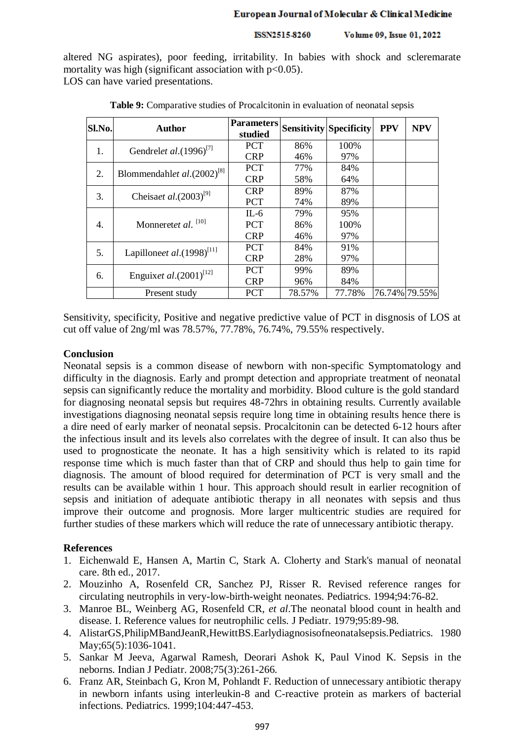#### ISSN2515-8260 Volume 09, Issue 01, 2022

altered NG aspirates), poor feeding, irritability. In babies with shock and scleremarate mortality was high (significant association with  $p<0.05$ ). LOS can have varied presentations.

| Sl.No. | <b>Author</b>                         | <b>Parameters</b><br>studied |        | <b>Sensitivity Specificity</b> | <b>PPV</b> | <b>NPV</b>    |
|--------|---------------------------------------|------------------------------|--------|--------------------------------|------------|---------------|
| 1.     | Gendrelet al.(1996) <sup>[7]</sup>    | <b>PCT</b>                   | 86%    | 100%                           |            |               |
|        |                                       | <b>CRP</b>                   | 46%    | 97%                            |            |               |
| 2.     | Blommendahlet $al.(2002)^{[8]}$       | <b>PCT</b>                   | 77%    | 84%                            |            |               |
|        |                                       | <b>CRP</b>                   | 58%    | 64%                            |            |               |
| 3.     | Cheisaet al. $(2003)^{[9]}$           | <b>CRP</b>                   | 89%    | 87%                            |            |               |
|        |                                       | <b>PCT</b>                   | 74%    | 89%                            |            |               |
|        | Monneretet al. <sup>[10]</sup>        | $IL-6$                       | 79%    | 95%                            |            |               |
| 4.     |                                       | <b>PCT</b>                   | 86%    | 100%                           |            |               |
|        |                                       | <b>CRP</b>                   | 46%    | 97%                            |            |               |
|        |                                       | <b>PCT</b>                   | 84%    | 91%                            |            |               |
| 5.     | Lapilloneet al.(1998) <sup>[11]</sup> | <b>CRP</b>                   | 28%    | 97%                            |            |               |
| 6.     | Enguixet al. $(2001)^{[12]}$          | <b>PCT</b>                   | 99%    | 89%                            |            |               |
|        |                                       | <b>CRP</b>                   | 96%    | 84%                            |            |               |
|        | Present study                         | <b>PCT</b>                   | 78.57% | 77.78%                         |            | 76.74% 79.55% |

| <b>Table 9:</b> Comparative studies of Procalcitonin in evaluation of neonatal sepsis |
|---------------------------------------------------------------------------------------|
|---------------------------------------------------------------------------------------|

Sensitivity, specificity, Positive and negative predictive value of PCT in disgnosis of LOS at cut off value of 2ng/ml was 78.57%, 77.78%, 76.74%, 79.55% respectively.

### **Conclusion**

Neonatal sepsis is a common disease of newborn with non-specific Symptomatology and difficulty in the diagnosis. Early and prompt detection and appropriate treatment of neonatal sepsis can significantly reduce the mortality and morbidity. Blood culture is the gold standard for diagnosing neonatal sepsis but requires 48-72hrs in obtaining results. Currently available investigations diagnosing neonatal sepsis require long time in obtaining results hence there is a dire need of early marker of neonatal sepsis. Procalcitonin can be detected 6-12 hours after the infectious insult and its levels also correlates with the degree of insult. It can also thus be used to prognosticate the neonate. It has a high sensitivity which is related to its rapid response time which is much faster than that of CRP and should thus help to gain time for diagnosis. The amount of blood required for determination of PCT is very small and the results can be available within 1 hour. This approach should result in earlier recognition of sepsis and initiation of adequate antibiotic therapy in all neonates with sepsis and thus improve their outcome and prognosis. More larger multicentric studies are required for further studies of these markers which will reduce the rate of unnecessary antibiotic therapy.

### **References**

- 1. Eichenwald E, Hansen A, Martin C, Stark A. Cloherty and Stark's manual of neonatal care. 8th ed., 2017.
- 2. Mouzinho A, Rosenfeld CR, Sanchez PJ, Risser R. Revised reference ranges for circulating neutrophils in very-low-birth-weight neonates. Pediatrics. 1994;94:76-82.
- 3. Manroe BL, Weinberg AG, Rosenfeld CR, *et al*.The neonatal blood count in health and disease. I. Reference values for neutrophilic cells. J Pediatr. 1979;95:89-98.
- 4. AlistarGS,PhilipMBandJeanR,HewittBS.Earlydiagnosisofneonatalsepsis.Pediatrics. 1980 May; 65(5): 1036-1041.
- 5. Sankar M Jeeva, Agarwal Ramesh, Deorari Ashok K, Paul Vinod K. Sepsis in the neborns. Indian J Pediatr. 2008;75(3):261-266.
- 6. Franz AR, Steinbach G, Kron M, Pohlandt F. Reduction of unnecessary antibiotic therapy in newborn infants using interleukin-8 and C-reactive protein as markers of bacterial infections. Pediatrics. 1999;104:447-453.